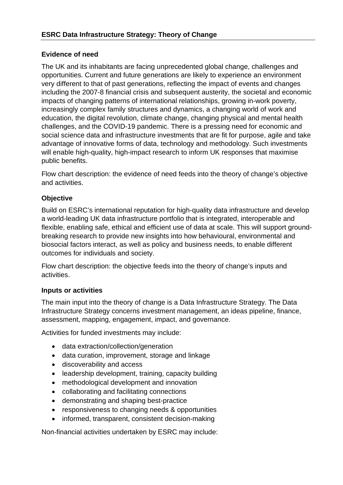## **Evidence of need**

The UK and its inhabitants are facing unprecedented global change, challenges and opportunities. Current and future generations are likely to experience an environment very different to that of past generations, reflecting the impact of events and changes including the 2007-8 financial crisis and subsequent austerity, the societal and economic impacts of changing patterns of international relationships, growing in-work poverty, increasingly complex family structures and dynamics, a changing world of work and education, the digital revolution, climate change, changing physical and mental health challenges, and the COVID-19 pandemic. There is a pressing need for economic and social science data and infrastructure investments that are fit for purpose, agile and take advantage of innovative forms of data, technology and methodology. Such investments will enable high-quality, high-impact research to inform UK responses that maximise public benefits.

Flow chart description: the evidence of need feeds into the theory of change's objective and activities.

# **Objective**

Build on ESRC's international reputation for high-quality data infrastructure and develop a world-leading UK data infrastructure portfolio that is integrated, interoperable and flexible, enabling safe, ethical and efficient use of data at scale. This will support groundbreaking research to provide new insights into how behavioural, environmental and biosocial factors interact, as well as policy and business needs, to enable different outcomes for individuals and society.

Flow chart description: the objective feeds into the theory of change's inputs and activities.

## **Inputs or activities**

The main input into the theory of change is a Data Infrastructure Strategy. The Data Infrastructure Strategy concerns investment management, an ideas pipeline, finance, assessment, mapping, engagement, impact, and governance.

Activities for funded investments may include:

- data extraction/collection/generation
- data curation, improvement, storage and linkage
- discoverability and access
- leadership development, training, capacity building
- methodological development and innovation
- collaborating and facilitating connections
- demonstrating and shaping best-practice
- responsiveness to changing needs & opportunities
- informed, transparent, consistent decision-making

Non-financial activities undertaken by ESRC may include: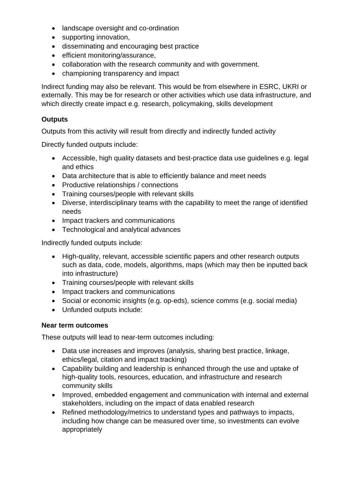- landscape oversight and co-ordination
- supporting innovation,
- disseminating and encouraging best practice
- efficient monitoring/assurance,
- collaboration with the research community and with government.
- championing transparency and impact

Indirect funding may also be relevant. This would be from elsewhere in ESRC, UKRI or externally. This may be for research or other activities which use data infrastructure, and which directly create impact e.g. research, policymaking, skills development

## **Outputs**

Outputs from this activity will result from directly and indirectly funded activity

Directly funded outputs include:

- Accessible, high quality datasets and best-practice data use guidelines e.g. legal and ethics
- Data architecture that is able to efficiently balance and meet needs
- Productive relationships / connections
- Training courses/people with relevant skills
- Diverse, interdisciplinary teams with the capability to meet the range of identified needs
- Impact trackers and communications
- Technological and analytical advances

Indirectly funded outputs include:

- High-quality, relevant, accessible scientific papers and other research outputs such as data, code, models, algorithms, maps (which may then be inputted back into infrastructure)
- Training courses/people with relevant skills
- Impact trackers and communications
- Social or economic insights (e.g. op-eds), science comms (e.g. social media)
- Unfunded outputs include:

## **Near term outcomes**

These outputs will lead to near-term outcomes including:

- Data use increases and improves (analysis, sharing best practice, linkage, ethics/legal, citation and impact tracking)
- Capability building and leadership is enhanced through the use and uptake of high-quality tools, resources, education, and infrastructure and research community skills
- Improved, embedded engagement and communication with internal and external stakeholders, including on the impact of data enabled research
- Refined methodology/metrics to understand types and pathways to impacts, including how change can be measured over time, so investments can evolve appropriately